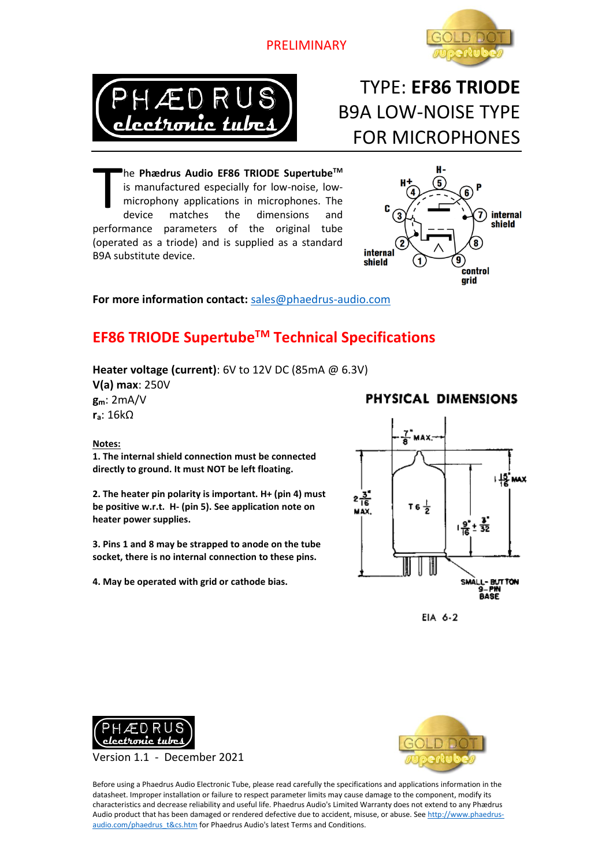PRELIMINARY





# TYPE: **EF86 TRIODE** B9A LOW-NOISE TYPE FOR MICROPHONES

he **Phædrus Audio EF86 TRIODE SupertubeTM** is manufactured especially for low-noise, lowmicrophony applications in microphones. The device matches the dimensions and performance parameters of the original tube (operated as a triode) and is supplied as a standard B9A substitute device. T



#### **For more information contact:** [sales@phaedrus-audio.com](mailto:sales@phaedrus-audio.com)

## **EF86 TRIODE SupertubeTM Technical Specifications**

#### **Heater voltage (current)**: 6V to 12V DC (85mA @ 6.3V)

**V(a) max**: 250V **gm**: 2mA/V **ra**: 16kΩ

#### **Notes:**

**1. The internal shield connection must be connected directly to ground. It must NOT be left floating.**

**2. The heater pin polarity is important. H+ (pin 4) must be positive w.r.t. H- (pin 5). See application note on heater power supplies.**

**3. Pins 1 and 8 may be strapped to anode on the tube socket, there is no internal connection to these pins.**

**4. May be operated with grid or cathode bias.** 

### PHYSICAL DIMENSIONS



EIA 6-2



Version 1.1 - December 2021



Before using a Phaedrus Audio Electronic Tube, please read carefully the specifications and applications information in the datasheet. Improper installation or failure to respect parameter limits may cause damage to the component, modify its characteristics and decrease reliability and useful life. Phaedrus Audio's Limited Warranty does not extend to any Phædrus Audio product that has been damaged or rendered defective due to accident, misuse, or abuse. Se[e http://www.phaedrus](http://www.phaedrus-audio.com/phaedrus_t&cs.htm)[audio.com/phaedrus\\_t&cs.htm](http://www.phaedrus-audio.com/phaedrus_t&cs.htm) for Phaedrus Audio's latest Terms and Conditions.